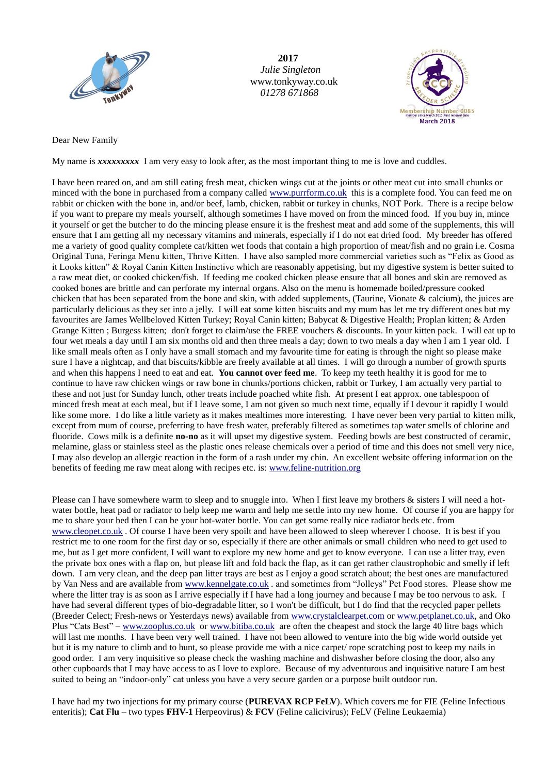

**2017**  *Julie Singleton* www.tonkyway.co.uk  *01278 671868*



Dear New Family

My name is *xxxxxxxxx* I am very easy to look after, as the most important thing to me is love and cuddles.

I have been reared on, and am still eating fresh meat, chicken wings cut at the joints or other meat cut into small chunks or minced with the bone in purchased from a company called [www.purrform.co.uk](http://www.purrform.co.uk/) this is a complete food. You can feed me on rabbit or chicken with the bone in, and/or beef, lamb, chicken, rabbit or turkey in chunks, NOT Pork. There is a recipe below if you want to prepare my meals yourself, although sometimes I have moved on from the minced food. If you buy in, mince it yourself or get the butcher to do the mincing please ensure it is the freshest meat and add some of the supplements, this will ensure that I am getting all my necessary vitamins and minerals, especially if I do not eat dried food. My breeder has offered me a variety of good quality complete cat/kitten wet foods that contain a high proportion of meat/fish and no grain i.e. Cosma Original Tuna, Feringa Menu kitten, Thrive Kitten. I have also sampled more commercial varieties such as "Felix as Good as it Looks kitten" & Royal Canin Kitten Instinctive which are reasonably appetising, but my digestive system is better suited to a raw meat diet, or cooked chicken/fish. If feeding me cooked chicken please ensure that all bones and skin are removed as cooked bones are brittle and can perforate my internal organs. Also on the menu is homemade boiled/pressure cooked chicken that has been separated from the bone and skin, with added supplements, (Taurine, Vionate & calcium), the juices are particularly delicious as they set into a jelly. I will eat some kitten biscuits and my mum has let me try different ones but my favourites are James Wellbeloved Kitten Turkey; Royal Canin kitten; Babycat & Digestive Health; Proplan kitten; & Arden Grange Kitten ; Burgess kitten; don't forget to claim/use the FREE vouchers & discounts. In your kitten pack. I will eat up to four wet meals a day until I am six months old and then three meals a day; down to two meals a day when I am 1 year old. I like small meals often as I only have a small stomach and my favourite time for eating is through the night so please make sure I have a nightcap, and that biscuits/kibble are freely available at all times. I will go through a number of growth spurts and when this happens I need to eat and eat. **You cannot over feed me**. To keep my teeth healthy it is good for me to continue to have raw chicken wings or raw bone in chunks/portions chicken, rabbit or Turkey, I am actually very partial to these and not just for Sunday lunch, other treats include poached white fish. At present I eat approx. one tablespoon of minced fresh meat at each meal, but if I leave some, I am not given so much next time, equally if I devour it rapidly I would like some more. I do like a little variety as it makes mealtimes more interesting. I have never been very partial to kitten milk, except from mum of course, preferring to have fresh water, preferably filtered as sometimes tap water smells of chlorine and fluoride. Cows milk is a definite **no-no** as it will upset my digestive system. Feeding bowls are best constructed of ceramic, melamine, glass or stainless steel as the plastic ones release chemicals over a period of time and this does not smell very nice, I may also develop an allergic reaction in the form of a rash under my chin. An excellent website offering information on the benefits of feeding me raw meat along with recipes etc. is[: www.feline-nutrition.org](http://www.feline-nutrition.org/) 

Please can I have somewhere warm to sleep and to snuggle into. When I first leave my brothers & sisters I will need a hotwater bottle, heat pad or radiator to help keep me warm and help me settle into my new home. Of course if you are happy for me to share your bed then I can be your hot-water bottle. You can get some really nice radiator beds etc. from [www.cleopet.co.uk](http://www.cleopet.co.uk/) . Of course I have been very spoilt and have been allowed to sleep wherever I choose. It is best if you restrict me to one room for the first day or so, especially if there are other animals or small children who need to get used to me, but as I get more confident, I will want to explore my new home and get to know everyone. I can use a litter tray, even the private box ones with a flap on, but please lift and fold back the flap, as it can get rather claustrophobic and smelly if left down. I am very clean, and the deep pan litter trays are best as I enjoy a good scratch about; the best ones are manufactured by Van Ness and are available from [www.kennelgate.co.uk](http://www.kennelgate.co.uk/) . and sometimes from "Jolleys" Pet Food stores. Please show me where the litter tray is as soon as I arrive especially if I have had a long journey and because I may be too nervous to ask. I have had several different types of bio-degradable litter, so I won't be difficult, but I do find that the recycled paper pellets (Breeder Celect; Fresh-news or Yesterdays news) available from [www.crystalclearpet.com](http://www.crystalclearpet.com/) or [www.petplanet.co.uk,](http://www.petplanet.co.uk/) and Oko Plus "Cats Best" – [www.zooplus.co.uk](http://www.zooplus.co.uk/) or [www.bitiba.co.uk](http://www.bitiba.co.uk/) are often the cheapest and stock the large 40 litre bags which will last me months. I have been very well trained. I have not been allowed to venture into the big wide world outside yet but it is my nature to climb and to hunt, so please provide me with a nice carpet/ rope scratching post to keep my nails in good order. I am very inquisitive so please check the washing machine and dishwasher before closing the door, also any other cupboards that I may have access to as I love to explore. Because of my adventurous and inquisitive nature I am best suited to being an "indoor-only" cat unless you have a very secure garden or a purpose built outdoor run.

I have had my two injections for my primary course (**PUREVAX RCP FeLV**). Which covers me for FIE (Feline Infectious enteritis); **Cat Flu** – two types **FHV-1** Herpeovirus) & **FCV** (Feline calicivirus); FeLV (Feline Leukaemia)